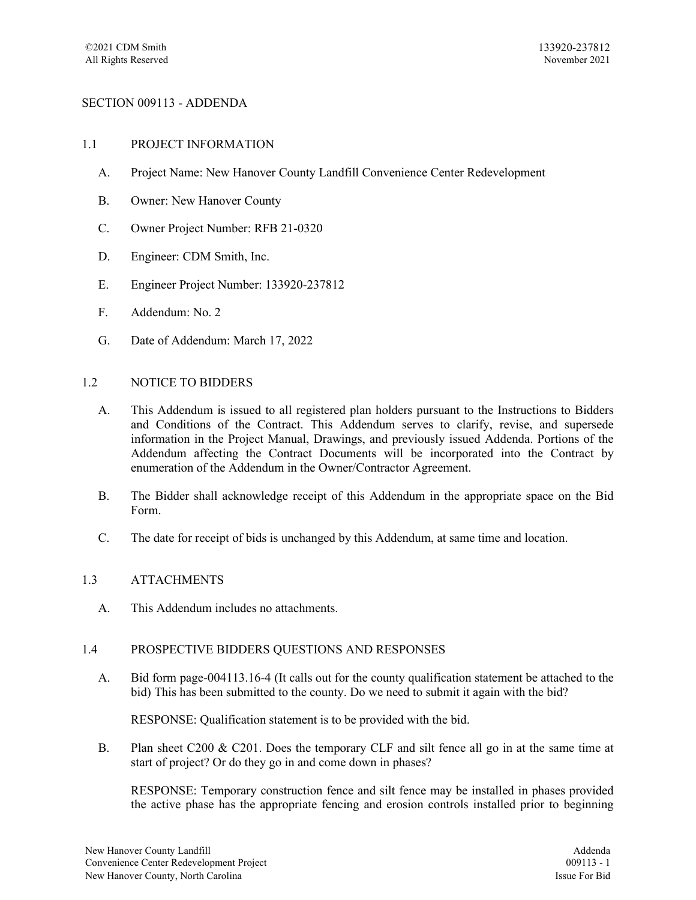# SECTION 009113 - ADDENDA

#### 1.1 PROJECT INFORMATION

- A. Project Name: New Hanover County Landfill Convenience Center Redevelopment
- B. Owner: New Hanover County
- C. Owner Project Number: RFB 21-0320
- D. Engineer: CDM Smith, Inc.
- E. Engineer Project Number: 133920-237812
- F. Addendum: No. 2
- G. Date of Addendum: March 17, 2022

#### 1.2 NOTICE TO BIDDERS

- A. This Addendum is issued to all registered plan holders pursuant to the Instructions to Bidders and Conditions of the Contract. This Addendum serves to clarify, revise, and supersede information in the Project Manual, Drawings, and previously issued Addenda. Portions of the Addendum affecting the Contract Documents will be incorporated into the Contract by enumeration of the Addendum in the Owner/Contractor Agreement.
- B. The Bidder shall acknowledge receipt of this Addendum in the appropriate space on the Bid Form.
- C. The date for receipt of bids is unchanged by this Addendum, at same time and location.

# 1.3 ATTACHMENTS

A. This Addendum includes no attachments.

# 1.4 PROSPECTIVE BIDDERS QUESTIONS AND RESPONSES

A. Bid form page-004113.16-4 (It calls out for the county qualification statement be attached to the bid) This has been submitted to the county. Do we need to submit it again with the bid?

RESPONSE: Qualification statement is to be provided with the bid.

B. Plan sheet C200 & C201. Does the temporary CLF and silt fence all go in at the same time at start of project? Or do they go in and come down in phases?

RESPONSE: Temporary construction fence and silt fence may be installed in phases provided the active phase has the appropriate fencing and erosion controls installed prior to beginning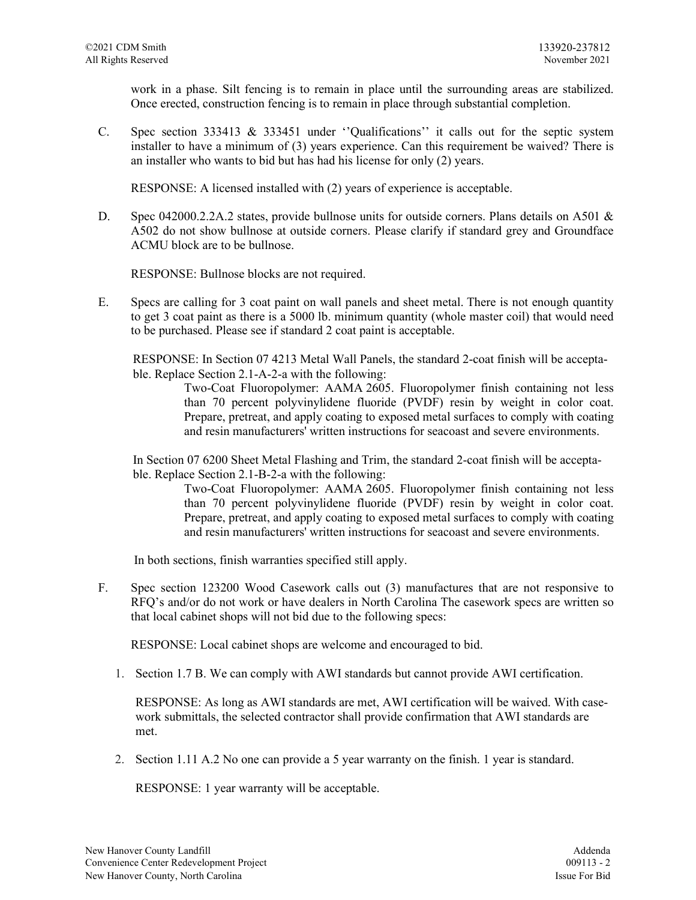work in a phase. Silt fencing is to remain in place until the surrounding areas are stabilized. Once erected, construction fencing is to remain in place through substantial completion.

C. Spec section 333413 & 333451 under ''Qualifications'' it calls out for the septic system installer to have a minimum of (3) years experience. Can this requirement be waived? There is an installer who wants to bid but has had his license for only (2) years.

RESPONSE: A licensed installed with (2) years of experience is acceptable.

D. Spec 042000.2.2A.2 states, provide bullnose units for outside corners. Plans details on A501 & A502 do not show bullnose at outside corners. Please clarify if standard grey and Groundface ACMU block are to be bullnose.

RESPONSE: Bullnose blocks are not required.

E. Specs are calling for 3 coat paint on wall panels and sheet metal. There is not enough quantity to get 3 coat paint as there is a 5000 lb. minimum quantity (whole master coil) that would need to be purchased. Please see if standard 2 coat paint is acceptable.

RESPONSE: In Section 07 4213 Metal Wall Panels, the standard 2-coat finish will be acceptable. Replace Section 2.1-A-2-a with the following:

Two-Coat Fluoropolymer: AAMA 2605. Fluoropolymer finish containing not less than 70 percent polyvinylidene fluoride (PVDF) resin by weight in color coat. Prepare, pretreat, and apply coating to exposed metal surfaces to comply with coating and resin manufacturers' written instructions for seacoast and severe environments.

In Section 07 6200 Sheet Metal Flashing and Trim, the standard 2-coat finish will be acceptable. Replace Section 2.1-B-2-a with the following:

> Two-Coat Fluoropolymer: AAMA 2605. Fluoropolymer finish containing not less than 70 percent polyvinylidene fluoride (PVDF) resin by weight in color coat. Prepare, pretreat, and apply coating to exposed metal surfaces to comply with coating and resin manufacturers' written instructions for seacoast and severe environments.

In both sections, finish warranties specified still apply.

F. Spec section 123200 Wood Casework calls out (3) manufactures that are not responsive to RFQ's and/or do not work or have dealers in North Carolina The casework specs are written so that local cabinet shops will not bid due to the following specs:

RESPONSE: Local cabinet shops are welcome and encouraged to bid.

1. Section 1.7 B. We can comply with AWI standards but cannot provide AWI certification.

RESPONSE: As long as AWI standards are met, AWI certification will be waived. With casework submittals, the selected contractor shall provide confirmation that AWI standards are met.

2. Section 1.11 A.2 No one can provide a 5 year warranty on the finish. 1 year is standard.

RESPONSE: 1 year warranty will be acceptable.